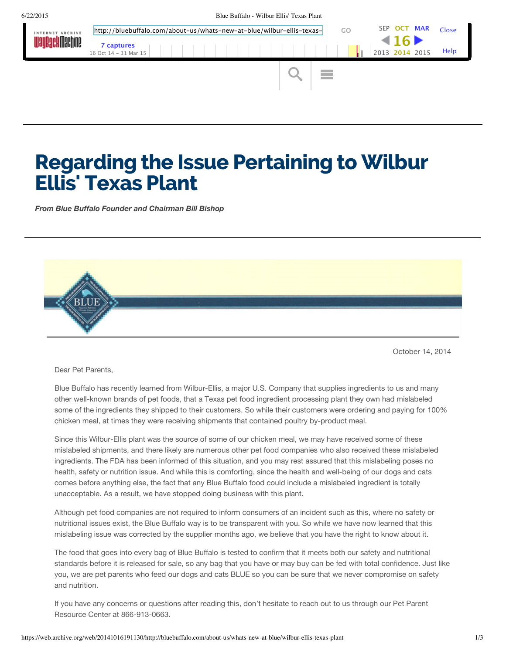

## Regarding the Issue Pertaining to Wilbur Ellis' Texas Plant

*From Blue Buffalo Founder and Chairman Bill Bishop*



October 14, 2014

Dear Pet Parents,

Blue Buffalo has recently learned from Wilbur-Ellis, a major U.S. Company that supplies ingredients to us and many other well-known brands of pet foods, that a Texas pet food ingredient processing plant they own had mislabeled some of the ingredients they shipped to their customers. So while their customers were ordering and paying for 100% chicken meal, at times they were receiving shipments that contained poultry by-product meal.

Since this Wilbur-Ellis plant was the source of some of our chicken meal, we may have received some of these mislabeled shipments, and there likely are numerous other pet food companies who also received these mislabeled ingredients. The FDA has been informed of this situation, and you may rest assured that this mislabeling poses no health, safety or nutrition issue. And while this is comforting, since the health and well-being of our dogs and cats comes before anything else, the fact that any Blue Buffalo food could include a mislabeled ingredient is totally unacceptable. As a result, we have stopped doing business with this plant.

Although pet food companies are not required to inform consumers of an incident such as this, where no safety or nutritional issues exist, the Blue Buffalo way is to be transparent with you. So while we have now learned that this mislabeling issue was corrected by the supplier months ago, we believe that you have the right to know about it.

The food that goes into every bag of Blue Buffalo is tested to confirm that it meets both our safety and nutritional standards before it is released for sale, so any bag that you have or may buy can be fed with total confidence. Just like you, we are pet parents who feed our dogs and cats BLUE so you can be sure that we never compromise on safety and nutrition.

If you have any concerns or questions after reading this, don't hesitate to reach out to us through our Pet Parent Resource Center at 866-913-0663.